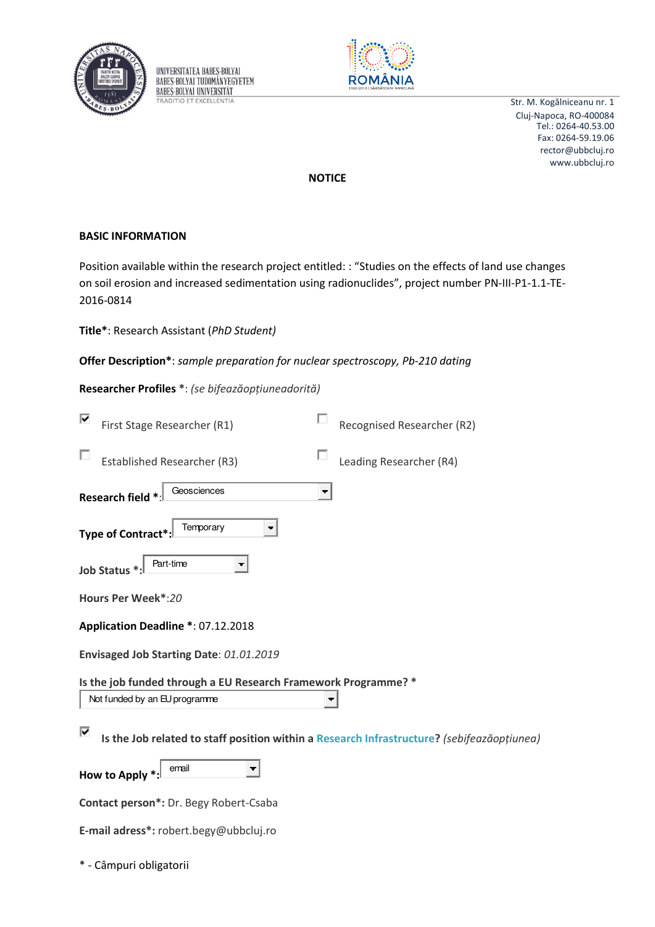

UNIVERSITATEA BABES-BOLYAI **BABES-BOLYAI TUDOMÁNYEGYETEM BABES-BOLYAL UNIVERSITÄT TRADITIO ET EXCELLENTIA** 



Str. M. Kogălniceanu nr. 1 Cluj-Napoca, RO-400084 rector@ubbcluj.ro www.ubbcluj.ro Tel.: 0264-40.53.00 Fax: 0264-59.19.06

**NOTICE** 

## **BASIC INFORMATION**

Position available within the research project entitled: : "Studies on the effects of land use changes on soil erosion and increased sedimentation using radionuclides", project number PN-III-P1-1.1-TE-2016-0814

**Title\***: Research Assistant (*PhD Student)*

**Offer Description\***: *sample preparation for nuclear spectroscopy, Pb-210 dating* 

**Researcher Profiles \***: *(se bifeazăopțiuneadorită)* 

| ⊽                                                                                               | First Stage Researcher (R1)          |  | Recognised Researcher (R2) |  |  |  |
|-------------------------------------------------------------------------------------------------|--------------------------------------|--|----------------------------|--|--|--|
|                                                                                                 | Established Researcher (R3)          |  | Leading Researcher (R4)    |  |  |  |
|                                                                                                 | Geosciences<br><b>Research field</b> |  |                            |  |  |  |
| Temporary<br>Type of Contract <sup>*</sup>                                                      |                                      |  |                            |  |  |  |
| Part-time<br><b>Job Status</b>                                                                  |                                      |  |                            |  |  |  |
| Hours Per Week*:20                                                                              |                                      |  |                            |  |  |  |
| Application Deadline *: 07.12.2018                                                              |                                      |  |                            |  |  |  |
| Envisaged Job Starting Date: 01.01.2019                                                         |                                      |  |                            |  |  |  |
| Is the job funded through a EU Research Framework Programme? *<br>Not funded by an EU programme |                                      |  |                            |  |  |  |
| ⊽<br>Is the Job related to staff position within a Research Infrastructure? (sebifeazăopțiunea) |                                      |  |                            |  |  |  |
|                                                                                                 | email<br>How to Apply *:             |  |                            |  |  |  |
| Contact person*: Dr. Begy Robert-Csaba                                                          |                                      |  |                            |  |  |  |
| E-mail adress*: robert.begy@ubbcluj.ro                                                          |                                      |  |                            |  |  |  |

\* - Câmpuri obligatorii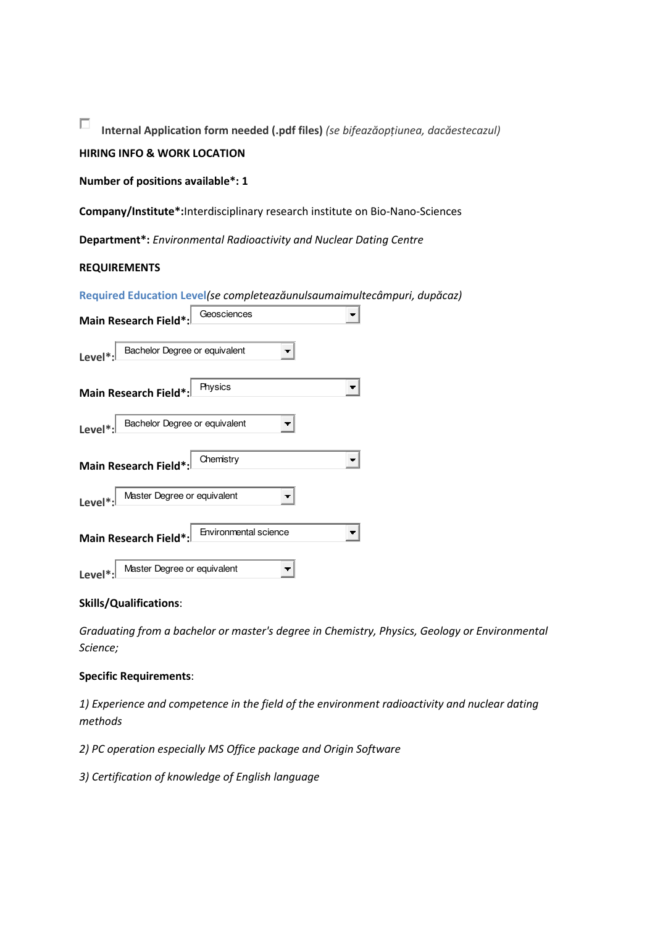П Internal Application form needed (.pdf files) (se bifeazăopțiunea, dacăestecazul)

# **HIRING INFO & WORK LOCATION**

Number of positions available\*: 1

Company/Institute\*: Interdisciplinary research institute on Bio-Nano-Sciences

**Department\*:** Environmental Radioactivity and Nuclear Dating Centre

### **REQUIREMENTS**

Required Education Level(se completeazăunulsaumaimultecâmpuri, dupăcaz)

| Geosciences<br><b>Main Research Field*:</b>    |  |  |  |  |  |
|------------------------------------------------|--|--|--|--|--|
| Bachelor Degree or equivalent<br>Level*        |  |  |  |  |  |
| Physics<br>٠<br><b>Main Research Field*:</b>   |  |  |  |  |  |
| Bachelor Degree or equivalent<br>Level*:       |  |  |  |  |  |
| Chemistry<br>▼<br><b>Main Research Field*:</b> |  |  |  |  |  |
| Master Degree or equivalent<br>Level*:         |  |  |  |  |  |
| Environmental science<br>Main Research Field*: |  |  |  |  |  |
| Master Degree or equivalent<br>Level*:         |  |  |  |  |  |

#### **Skills/Qualifications:**

Graduating from a bachelor or master's degree in Chemistry, Physics, Geology or Environmental Science;

#### **Specific Requirements:**

1) Experience and competence in the field of the environment radioactivity and nuclear dating methods

2) PC operation especially MS Office package and Origin Software

3) Certification of knowledge of English language